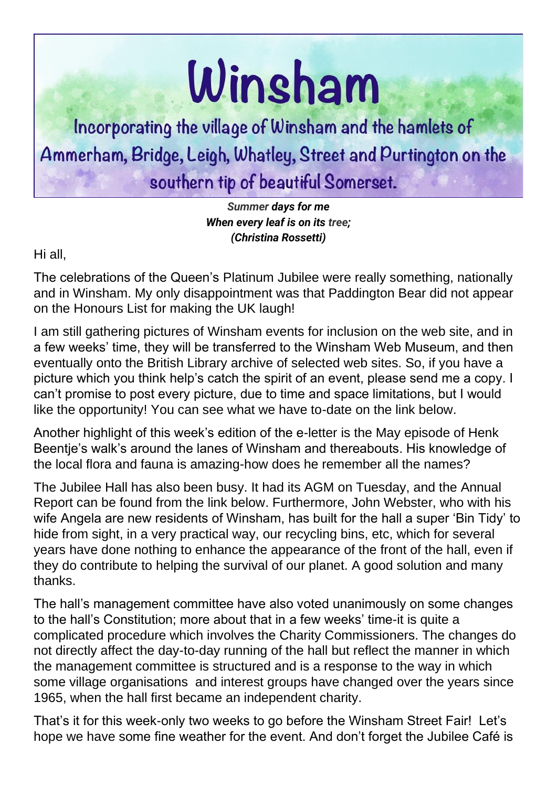## Winsham

Incorporating the village of Winsham and the hamlets of Ammerham, Bridge, Leigh, Whatley, Street and Purtington on the southern tip of beautiful Somerset.

> *[Summer](https://internetpoem.com/poems/summer/) days for me When every leaf is on its [tree;](https://internetpoem.com/poems/tree/) (Christina Rossetti)*

Hi all,

The celebrations of the Queen's Platinum Jubilee were really something, nationally and in Winsham. My only disappointment was that Paddington Bear did not appear on the Honours List for making the UK laugh!

I am still gathering pictures of Winsham events for inclusion on the web site, and in a few weeks' time, they will be transferred to the Winsham Web Museum, and then eventually onto the British Library archive of selected web sites. So, if you have a picture which you think help's catch the spirit of an event, please send me a copy. I can't promise to post every picture, due to time and space limitations, but I would like the opportunity! You can see what we have to-date on the link below.

Another highlight of this week's edition of the e-letter is the May episode of Henk Beentje's walk's around the lanes of Winsham and thereabouts. His knowledge of the local flora and fauna is amazing-how does he remember all the names?

The Jubilee Hall has also been busy. It had its AGM on Tuesday, and the Annual Report can be found from the link below. Furthermore, John Webster, who with his wife Angela are new residents of Winsham, has built for the hall a super 'Bin Tidy' to hide from sight, in a very practical way, our recycling bins, etc, which for several years have done nothing to enhance the appearance of the front of the hall, even if they do contribute to helping the survival of our planet. A good solution and many thanks.

The hall's management committee have also voted unanimously on some changes to the hall's Constitution; more about that in a few weeks' time-it is quite a complicated procedure which involves the Charity Commissioners. The changes do not directly affect the day-to-day running of the hall but reflect the manner in which the management committee is structured and is a response to the way in which some village organisations and interest groups have changed over the years since 1965, when the hall first became an independent charity.

That's it for this week-only two weeks to go before the Winsham Street Fair! Let's hope we have some fine weather for the event. And don't forget the Jubilee Café is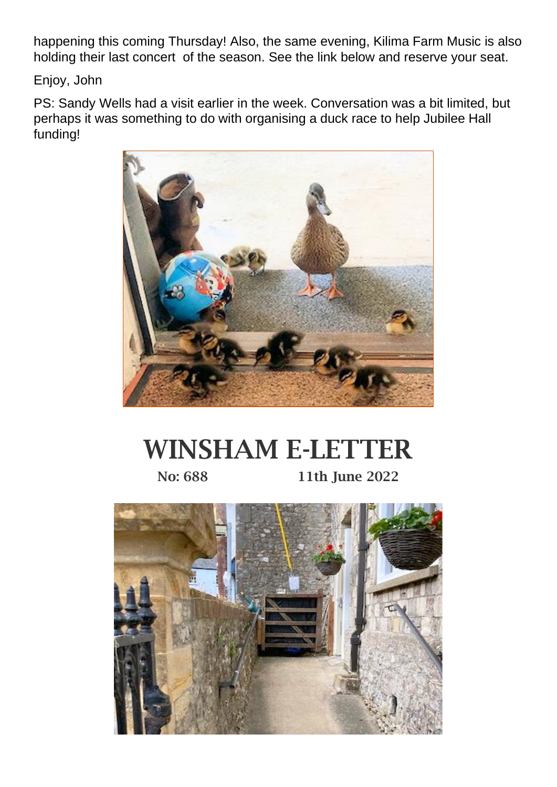happening this coming Thursday! Also, the same evening, Kilima Farm Music is also holding their last concert of the season. See the link below and reserve your seat.

Enjoy, John

PS: Sandy Wells had a visit earlier in the week. Conversation was a bit limited, but perhaps it was something to do with organising a duck race to help Jubilee Hall funding!



## WINSHAM E-LETTER No: 688 11th June 2022

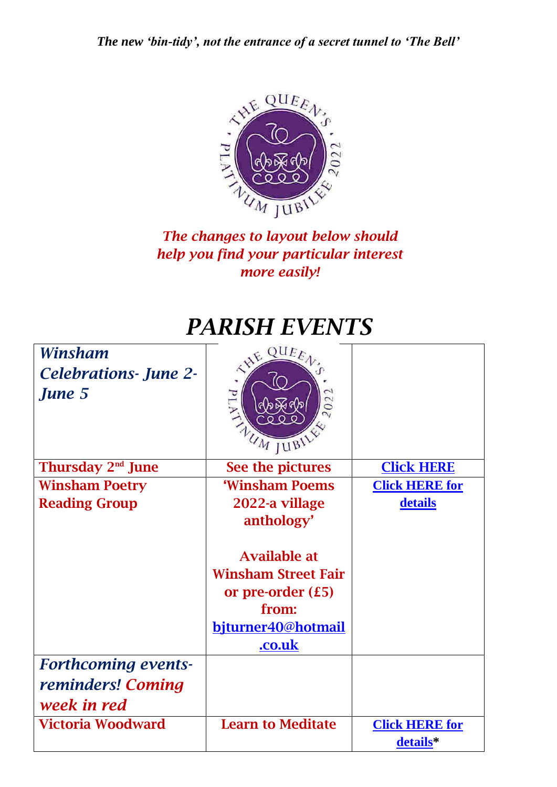*The new 'bin-tidy', not the entrance of a secret tunnel to 'The Bell'*



## *The changes to layout below should help you find your particular interest more easily!*

## *PARISH EVENTS*

| Winsham<br><b>Celebrations- June 2-</b><br>June 5 | QUE<br>EHE<br>PE GEES<br>202                                                                                                                      |                                   |
|---------------------------------------------------|---------------------------------------------------------------------------------------------------------------------------------------------------|-----------------------------------|
| Thursday 2 <sup>nd</sup> June                     | See the pictures                                                                                                                                  | <b>Click HERE</b>                 |
| <b>Winsham Poetry</b>                             | 'Winsham Poems                                                                                                                                    | <b>Click HERE for</b>             |
| <b>Reading Group</b>                              | 2022-a village<br>anthology'<br><b>Available at</b><br><b>Winsham Street Fair</b><br>or pre-order $(£5)$<br>from:<br>bjturner40@hotmail<br>.co.uk | details                           |
| <b>Forthcoming events-</b>                        |                                                                                                                                                   |                                   |
| reminders! Coming                                 |                                                                                                                                                   |                                   |
| week in red                                       |                                                                                                                                                   |                                   |
| <b>Victoria Woodward</b>                          | <b>Learn to Meditate</b>                                                                                                                          | <b>Click HERE for</b><br>details* |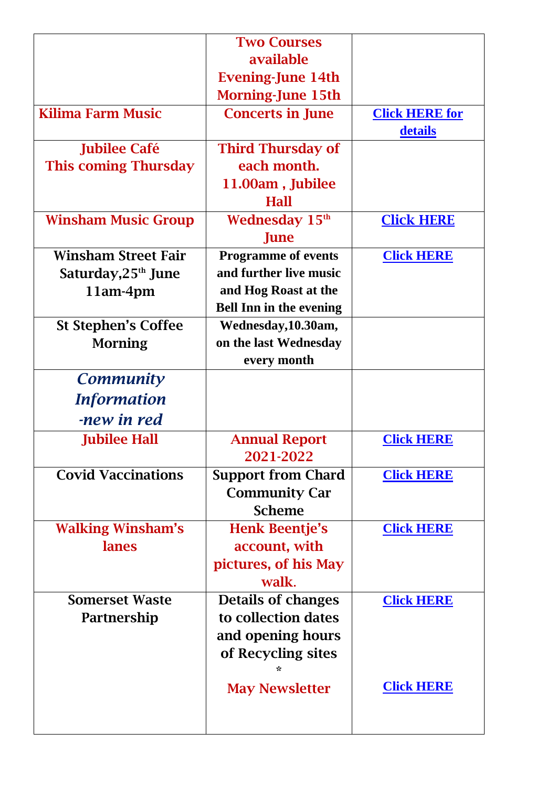|                                | <b>Two Courses</b>             |                       |
|--------------------------------|--------------------------------|-----------------------|
|                                | available                      |                       |
|                                | <b>Evening-June 14th</b>       |                       |
|                                | <b>Morning-June 15th</b>       |                       |
| <b>Kilima Farm Music</b>       | <b>Concerts in June</b>        | <b>Click HERE for</b> |
|                                |                                | details               |
| <b>Jubilee Café</b>            | <b>Third Thursday of</b>       |                       |
| <b>This coming Thursday</b>    | each month.                    |                       |
|                                | 11.00am, Jubilee               |                       |
|                                | <b>Hall</b>                    |                       |
| <b>Winsham Music Group</b>     | Wednesday 15 <sup>th</sup>     | <b>Click HERE</b>     |
|                                | June                           |                       |
| <b>Winsham Street Fair</b>     | <b>Programme of events</b>     | <b>Click HERE</b>     |
| Saturday,25 <sup>th</sup> June | and further live music         |                       |
| 11am-4pm                       | and Hog Roast at the           |                       |
|                                | <b>Bell Inn in the evening</b> |                       |
| <b>St Stephen's Coffee</b>     | Wednesday, 10.30am,            |                       |
| <b>Morning</b>                 | on the last Wednesday          |                       |
|                                | every month                    |                       |
| <b>Community</b>               |                                |                       |
| <i>Information</i>             |                                |                       |
| -new in red                    |                                |                       |
| <b>Jubilee Hall</b>            | <b>Annual Report</b>           | <b>Click HERE</b>     |
|                                | 2021-2022                      |                       |
| <b>Covid Vaccinations</b>      | <b>Support from Chard</b>      | <b>Click HERE</b>     |
|                                | <b>Community Car</b>           |                       |
|                                | <b>Scheme</b>                  |                       |
| <b>Walking Winsham's</b>       | <b>Henk Beentje's</b>          | <b>Click HERE</b>     |
| lanes                          | account, with                  |                       |
|                                | pictures, of his May           |                       |
|                                | walk.                          |                       |
| <b>Somerset Waste</b>          | <b>Details of changes</b>      | <b>Click HERE</b>     |
| Partnership                    | to collection dates            |                       |
|                                | and opening hours              |                       |
|                                | of Recycling sites             |                       |
|                                | ÷                              |                       |
|                                | <b>May Newsletter</b>          | <b>Click HERE</b>     |
|                                |                                |                       |
|                                |                                |                       |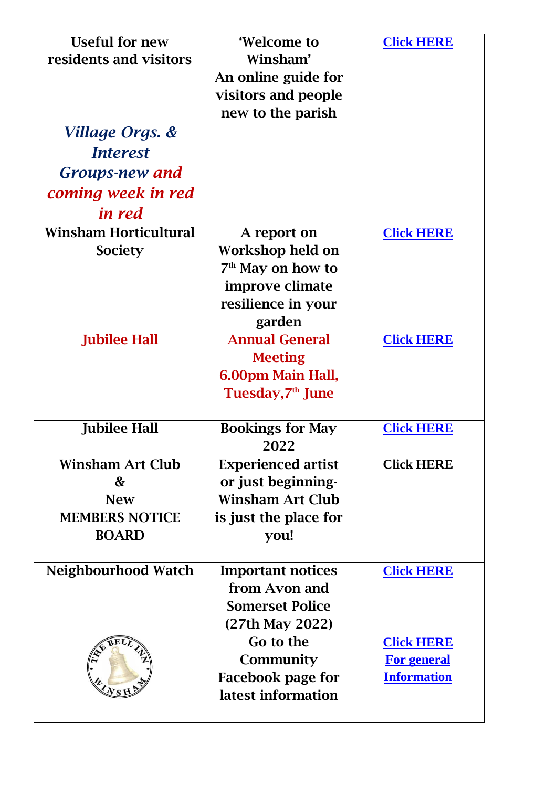| <b>Useful for new</b>        | 'Welcome to                   | <b>Click HERE</b>  |
|------------------------------|-------------------------------|--------------------|
| residents and visitors       | Winsham'                      |                    |
|                              | An online guide for           |                    |
|                              | visitors and people           |                    |
|                              | new to the parish             |                    |
| Village Orgs. &              |                               |                    |
| <i>Interest</i>              |                               |                    |
| <b>Groups-new and</b>        |                               |                    |
| coming week in red           |                               |                    |
| in red                       |                               |                    |
| <b>Winsham Horticultural</b> | A report on                   | <b>Click HERE</b>  |
| Society                      | Workshop held on              |                    |
|                              | 7 <sup>th</sup> May on how to |                    |
|                              | improve climate               |                    |
|                              | resilience in your            |                    |
|                              | garden                        |                    |
| <b>Jubilee Hall</b>          | <b>Annual General</b>         | <b>Click HERE</b>  |
|                              | <b>Meeting</b>                |                    |
|                              | 6.00pm Main Hall,             |                    |
|                              | Tuesday,7 <sup>th</sup> June  |                    |
| <b>Jubilee Hall</b>          | <b>Bookings for May</b>       | <b>Click HERE</b>  |
|                              | 2022                          |                    |
| <b>Winsham Art Club</b>      | <b>Experienced artist</b>     | <b>Click HERE</b>  |
| &                            | or just beginning-            |                    |
| <b>New</b>                   | <b>Winsham Art Club</b>       |                    |
| <b>MEMBERS NOTICE</b>        | is just the place for         |                    |
| <b>BOARD</b>                 | you!                          |                    |
|                              |                               |                    |
| <b>Neighbourhood Watch</b>   | <b>Important notices</b>      | <b>Click HERE</b>  |
|                              | from Avon and                 |                    |
|                              | <b>Somerset Police</b>        |                    |
|                              | (27th May 2022)               |                    |
|                              | Go to the                     | <b>Click HERE</b>  |
|                              | Community                     | <b>For general</b> |
|                              | Facebook page for             | <b>Information</b> |
| (Ns)                         | latest information            |                    |
|                              |                               |                    |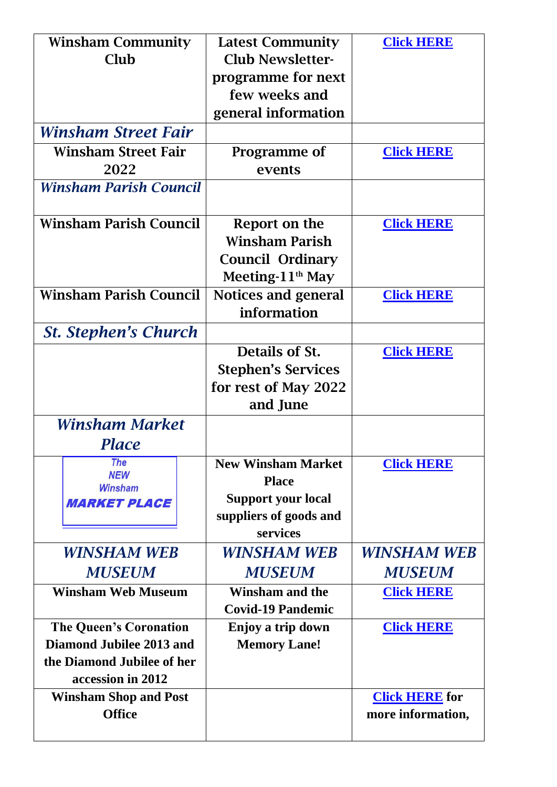| <b>Winsham Community</b>                      | <b>Latest Community</b>    | <b>Click HERE</b>     |
|-----------------------------------------------|----------------------------|-----------------------|
| Club                                          | <b>Club Newsletter-</b>    |                       |
|                                               | programme for next         |                       |
|                                               | few weeks and              |                       |
|                                               | general information        |                       |
| Winsham Street Fair                           |                            |                       |
| <b>Winsham Street Fair</b>                    | Programme of               | <b>Click HERE</b>     |
| 2022                                          | events                     |                       |
| <b>Winsham Parish Council</b>                 |                            |                       |
| <b>Winsham Parish Council</b>                 | Report on the              | <b>Click HERE</b>     |
|                                               | <b>Winsham Parish</b>      |                       |
|                                               | <b>Council Ordinary</b>    |                       |
|                                               | Meeting- $11th$ May        |                       |
| <b>Winsham Parish Council</b>                 | <b>Notices and general</b> | <b>Click HERE</b>     |
|                                               | information                |                       |
| <b>St. Stephen's Church</b>                   |                            |                       |
|                                               | Details of St.             | <b>Click HERE</b>     |
|                                               | <b>Stephen's Services</b>  |                       |
|                                               | for rest of May 2022       |                       |
|                                               | and June                   |                       |
| Winsham Market                                |                            |                       |
| Place                                         |                            |                       |
| <b>The</b>                                    | <b>New Winsham Market</b>  | <b>Click HERE</b>     |
| <b>NEW</b><br><b>Winsham</b>                  | <b>Place</b>               |                       |
| <b>MARKET PLACE</b>                           | <b>Support your local</b>  |                       |
|                                               | suppliers of goods and     |                       |
|                                               | services                   |                       |
| <b>WINSHAM WEB</b>                            | WINSHAM WEB                | WINSHAM WEB           |
| <b>MUSEUM</b>                                 | <b>MUSEUM</b>              | <b>MUSEUM</b>         |
| <b>Winsham Web Museum</b>                     | <b>Winsham and the</b>     | <b>Click HERE</b>     |
|                                               | <b>Covid-19 Pandemic</b>   |                       |
| <b>The Queen's Coronation</b>                 | Enjoy a trip down          | <b>Click HERE</b>     |
| Diamond Jubilee 2013 and                      | <b>Memory Lane!</b>        |                       |
| the Diamond Jubilee of her                    |                            |                       |
| accession in 2012                             |                            |                       |
| <b>Winsham Shop and Post</b><br><b>Office</b> |                            | <b>Click HERE</b> for |
|                                               |                            | more information,     |
|                                               |                            |                       |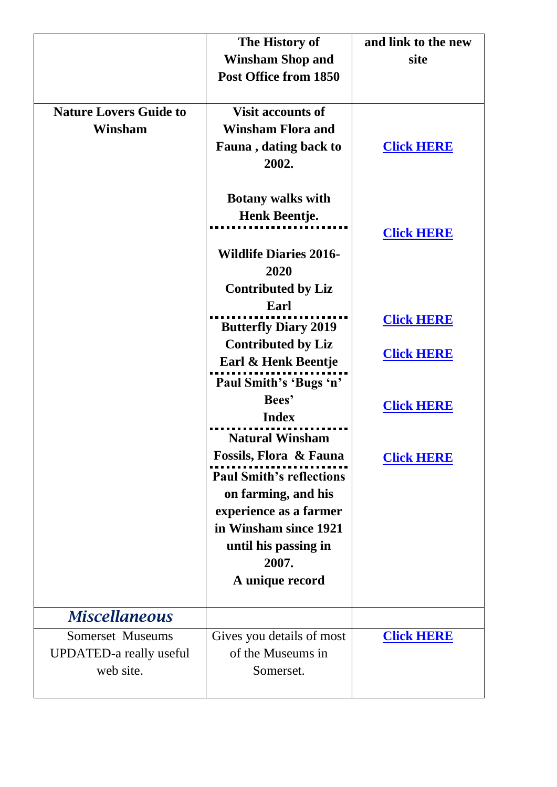|                                | The History of                                           | and link to the new |
|--------------------------------|----------------------------------------------------------|---------------------|
|                                | <b>Winsham Shop and</b>                                  | site                |
|                                | Post Office from 1850                                    |                     |
|                                |                                                          |                     |
| <b>Nature Lovers Guide to</b>  | <b>Visit accounts of</b>                                 |                     |
| Winsham                        | <b>Winsham Flora and</b>                                 |                     |
|                                | <b>Fauna</b> , dating back to                            | <b>Click HERE</b>   |
|                                | 2002.                                                    |                     |
|                                |                                                          |                     |
|                                | <b>Botany walks with</b><br>Henk Beentje.                |                     |
|                                |                                                          | <b>Click HERE</b>   |
|                                | <b>Wildlife Diaries 2016-</b>                            |                     |
|                                | 2020                                                     |                     |
|                                | <b>Contributed by Liz</b>                                |                     |
|                                | Earl                                                     |                     |
|                                |                                                          | <b>Click HERE</b>   |
|                                | <b>Butterfly Diary 2019</b><br><b>Contributed by Liz</b> |                     |
|                                | Earl & Henk Beentje                                      | <b>Click HERE</b>   |
|                                | Paul Smith's 'Bugs 'n'                                   |                     |
|                                | Bees'                                                    |                     |
|                                | <b>Index</b>                                             | <b>Click HERE</b>   |
|                                | <b>Natural Winsham</b>                                   |                     |
|                                | <b>Fossils, Flora &amp; Fauna</b>                        | <b>Click HERE</b>   |
|                                | <b>Paul Smith's reflections</b>                          |                     |
|                                | on farming, and his                                      |                     |
|                                | experience as a farmer                                   |                     |
|                                | in Winsham since 1921                                    |                     |
|                                | until his passing in                                     |                     |
|                                | 2007.                                                    |                     |
|                                | A unique record                                          |                     |
| <b>Miscellaneous</b>           |                                                          |                     |
| Somerset Museums               | Gives you details of most                                | <b>Click HERE</b>   |
| <b>UPDATED-a really useful</b> | of the Museums in                                        |                     |
| web site.                      | Somerset.                                                |                     |
|                                |                                                          |                     |